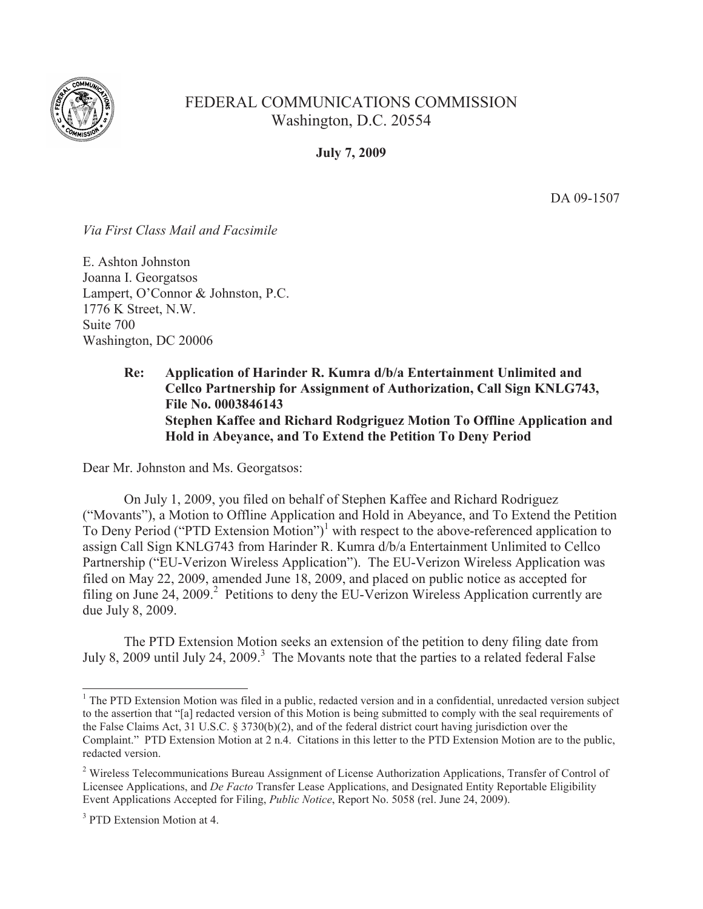

## FEDERAL COMMUNICATIONS COMMISSION Washington, D.C. 20554

**July 7, 2009**

DA 09-1507

*Via First Class Mail and Facsimile*

E. Ashton Johnston Joanna I. Georgatsos Lampert, O'Connor & Johnston, P.C. 1776 K Street, N.W. Suite 700 Washington, DC 20006

> **Re: Application of Harinder R. Kumra d/b/a Entertainment Unlimited and Cellco Partnership for Assignment of Authorization, Call Sign KNLG743, File No. 0003846143 Stephen Kaffee and Richard Rodgriguez Motion To Offline Application and Hold in Abeyance, and To Extend the Petition To Deny Period**

Dear Mr. Johnston and Ms. Georgatsos:

On July 1, 2009, you filed on behalf of Stephen Kaffee and Richard Rodriguez ("Movants"), a Motion to Offline Application and Hold in Abeyance, and To Extend the Petition To Deny Period ("PTD Extension Motion")<sup>1</sup> with respect to the above-referenced application to assign Call Sign KNLG743 from Harinder R. Kumra d/b/a Entertainment Unlimited to Cellco Partnership ("EU-Verizon Wireless Application"). The EU-Verizon Wireless Application was filed on May 22, 2009, amended June 18, 2009, and placed on public notice as accepted for filing on June 24, 2009.<sup>2</sup> Petitions to deny the EU-Verizon Wireless Application currently are due July 8, 2009.

The PTD Extension Motion seeks an extension of the petition to deny filing date from July 8, 2009 until July 24, 2009.<sup>3</sup> The Movants note that the parties to a related federal False

 $<sup>1</sup>$  The PTD Extension Motion was filed in a public, redacted version and in a confidential, unredacted version subject</sup> to the assertion that "[a] redacted version of this Motion is being submitted to comply with the seal requirements of the False Claims Act, 31 U.S.C. § 3730(b)(2), and of the federal district court having jurisdiction over the Complaint." PTD Extension Motion at 2 n.4. Citations in this letter to the PTD Extension Motion are to the public, redacted version.

<sup>&</sup>lt;sup>2</sup> Wireless Telecommunications Bureau Assignment of License Authorization Applications, Transfer of Control of Licensee Applications, and *De Facto* Transfer Lease Applications, and Designated Entity Reportable Eligibility Event Applications Accepted for Filing, *Public Notice*, Report No. 5058 (rel. June 24, 2009).

<sup>&</sup>lt;sup>3</sup> PTD Extension Motion at 4.